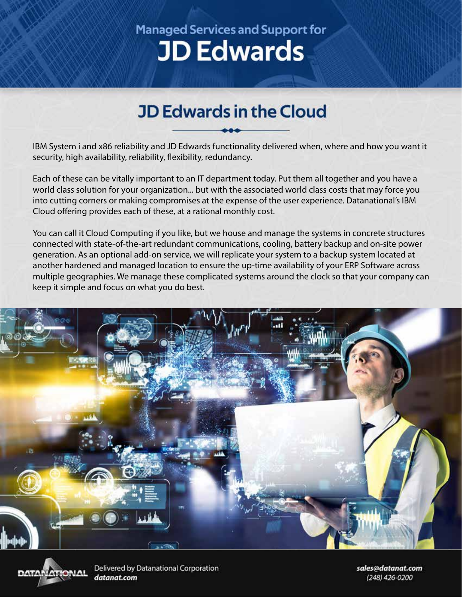## **Managed Services and Support for JD Edwards**

# **JD Edwards in the Cloud**

IBM System i and x86 reliability and JD Edwards functionality delivered when, where and how you want it security, high availability, reliability, flexibility, redundancy.

Each of these can be vitally important to an IT department today. Put them all together and you have a world class solution for your organization... but with the associated world class costs that may force you into cutting corners or making compromises at the expense of the user experience. Datanational's IBM Cloud offering provides each of these, at a rational monthly cost.

You can call it Cloud Computing if you like, but we house and manage the systems in concrete structures connected with state-of-the-art redundant communications, cooling, battery backup and on-site power generation. As an optional add-on service, we will replicate your system to a backup system located at another hardened and managed location to ensure the up-time availability of your ERP Software across multiple geographies. We manage these complicated systems around the clock so that your company can keep it simple and focus on what you do best.





Delivered by Datanational Corporation datanat.com

sales@datanat.com (248) 426-0200